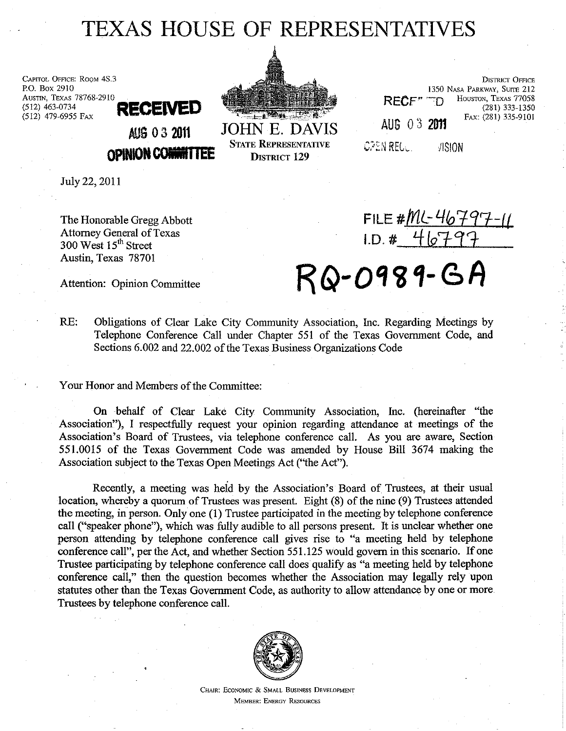## TEXAS HOUSE OF REPRESENTATIVES

CAPITOL OFFICE: ROOM 4S.3 P.O. Box 2910 AUSTIN, TEXAS 78768-2910<br>(512) 463-0734 (512) 463·0734 **RECENE**  (512) 479·6955 FAX



JOHN E. DAVIS STATE REPRESENTATIVE DISTRICT 129

|             | RECE <sup>*</sup> TD | <b>DISTRICT OFFICE</b><br>1350 NASA PARKWAY, SUITE 212<br>HOUSTON, TEXAS 77058<br>(281) 333-1350 |
|-------------|----------------------|--------------------------------------------------------------------------------------------------|
| AUG 03 2011 |                      | FAX: (281) 335-9101                                                                              |
| PEN REGU    | VISION               |                                                                                                  |

July 22,2011

The Honorable Gregg Abbott Attorney General of Texas 300 West 15<sup>th</sup> Street Austin, Texas 78701

AUG 0 3 <sup>2011</sup>

**OPINION CONNITTEE** 

FILE#<u>ML-46797-11</u> 1.D. # 46797

Attention: Opinion Committee  $RQ-0989-6A$ 

RE: Obligations of Clear Lake City Community Association, Inc. Regarding Meetings by Telephone Conference Call under Chapter 551 of the Texas Government Code, and Sections 6.002 and 22.002 of the Texas Business Organizations Code

Your Honor and Members of the Committee:

On behalf of Clear Lake City Community Association, Inc. (hereinafter "the Association"), I respectfully request your opinion regarding attendance at meetings of the Association's Board of Trustees, via telephone conference call. As you are aware, Section 551.0015 of the Texas Government Code was amended by House Bill 3674 making the Association subject to the Texas Open Meetings Act ("the Act").

Recently, a meeting was heid by the Association's Board of Trustees, at their usual location, whereby a quorum of Trustees was present. Eight (8) of the nine (9) Trustees attended the meeting, in person. Only one (1) Trustee participated in the meeting by telephone conference call ("speaker phone"), which was fully audible to all persons present. It is unclear whether one person attending by telephone conference call gives rise to "a meeting held by telephone conference call", per the Act, and whether Section 551.125 would govern in this scenario. If one Trustee participating by telephone conference call does' quality as "a meeting held by telephone conference call," then the question becomes whether the Association may legally rely upon statutes other than the Texas Government Code, as authority to allow attendance by one or more Trustees by telephone conference call.



CHAIR: EcONOMIC & SMALL BUSINESS DEVELOPMENT MEMBER: ENERGY RESOURCES